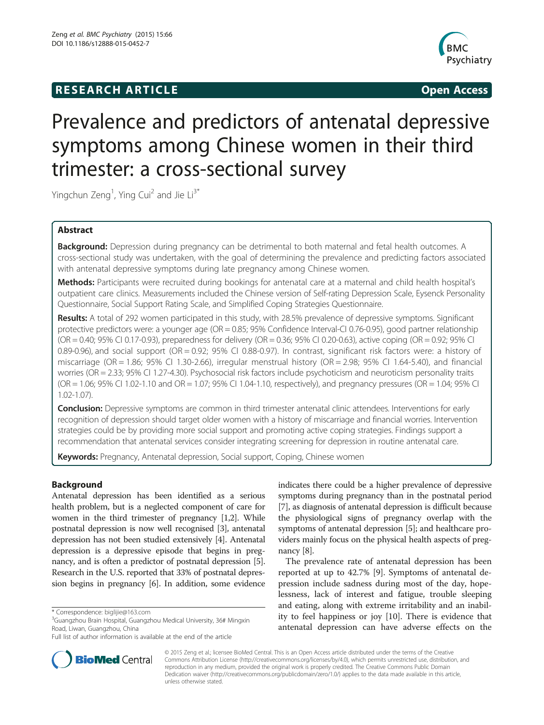## **RESEARCH ARTICLE Example 2014 CONSIDERING CONSIDERING CONSIDERING CONSIDERING CONSIDERING CONSIDERING CONSIDERING CONSIDERING CONSIDERING CONSIDERING CONSIDERING CONSIDERING CONSIDERING CONSIDERING CONSIDERING CONSIDE**



# Prevalence and predictors of antenatal depressive symptoms among Chinese women in their third trimester: a cross-sectional survey

Yingchun Zeng<sup>1</sup>, Ying Cui<sup>2</sup> and Jie Li<sup>3\*</sup>

## Abstract

Background: Depression during pregnancy can be detrimental to both maternal and fetal health outcomes. A cross-sectional study was undertaken, with the goal of determining the prevalence and predicting factors associated with antenatal depressive symptoms during late pregnancy among Chinese women.

Methods: Participants were recruited during bookings for antenatal care at a maternal and child health hospital's outpatient care clinics. Measurements included the Chinese version of Self-rating Depression Scale, Eysenck Personality Questionnaire, Social Support Rating Scale, and Simplified Coping Strategies Questionnaire.

Results: A total of 292 women participated in this study, with 28.5% prevalence of depressive symptoms. Significant protective predictors were: a younger age (OR = 0.85; 95% Confidence Interval-CI 0.76-0.95), good partner relationship (OR = 0.40; 95% CI 0.17-0.93), preparedness for delivery (OR = 0.36; 95% CI 0.20-0.63), active coping (OR = 0.92; 95% CI 0.89-0.96), and social support (OR = 0.92; 95% CI 0.88-0.97). In contrast, significant risk factors were: a history of miscarriage (OR = 1.86; 95% CI 1.30-2.66), irregular menstrual history (OR = 2.98; 95% CI 1.64-5.40), and financial worries (OR = 2.33; 95% CI 1.27-4.30). Psychosocial risk factors include psychoticism and neuroticism personality traits (OR = 1.06; 95% CI 1.02-1.10 and OR = 1.07; 95% CI 1.04-1.10, respectively), and pregnancy pressures (OR = 1.04; 95% CI 1.02-1.07).

**Conclusion:** Depressive symptoms are common in third trimester antenatal clinic attendees. Interventions for early recognition of depression should target older women with a history of miscarriage and financial worries. Intervention strategies could be by providing more social support and promoting active coping strategies. Findings support a recommendation that antenatal services consider integrating screening for depression in routine antenatal care.

Keywords: Pregnancy, Antenatal depression, Social support, Coping, Chinese women

## Background

Antenatal depression has been identified as a serious health problem, but is a neglected component of care for women in the third trimester of pregnancy [\[1,2\]](#page-6-0). While postnatal depression is now well recognised [[3\]](#page-6-0), antenatal depression has not been studied extensively [[4](#page-6-0)]. Antenatal depression is a depressive episode that begins in pregnancy, and is often a predictor of postnatal depression [[5](#page-6-0)]. Research in the U.S. reported that 33% of postnatal depression begins in pregnancy [\[6\]](#page-6-0). In addition, some evidence



The prevalence rate of antenatal depression has been reported at up to 42.7% [[9\]](#page-6-0). Symptoms of antenatal depression include sadness during most of the day, hopelessness, lack of interest and fatigue, trouble sleeping and eating, along with extreme irritability and an inability to feel happiness or joy [\[10](#page-6-0)]. There is evidence that antenatal depression can have adverse effects on the



© 2015 Zeng et al.; licensee BioMed Central. This is an Open Access article distributed under the terms of the Creative Commons Attribution License [\(http://creativecommons.org/licenses/by/4.0\)](http://creativecommons.org/licenses/by/4.0), which permits unrestricted use, distribution, and reproduction in any medium, provided the original work is properly credited. The Creative Commons Public Domain Dedication waiver [\(http://creativecommons.org/publicdomain/zero/1.0/](http://creativecommons.org/publicdomain/zero/1.0/)) applies to the data made available in this article, unless otherwise stated.

<sup>\*</sup> Correspondence: [biglijie@163.com](mailto:biglijie@163.com) <sup>3</sup>

<sup>&</sup>lt;sup>3</sup>Guangzhou Brain Hospital, Guangzhou Medical University, 36# Mingxin Road, Liwan, Guangzhou, China

Full list of author information is available at the end of the article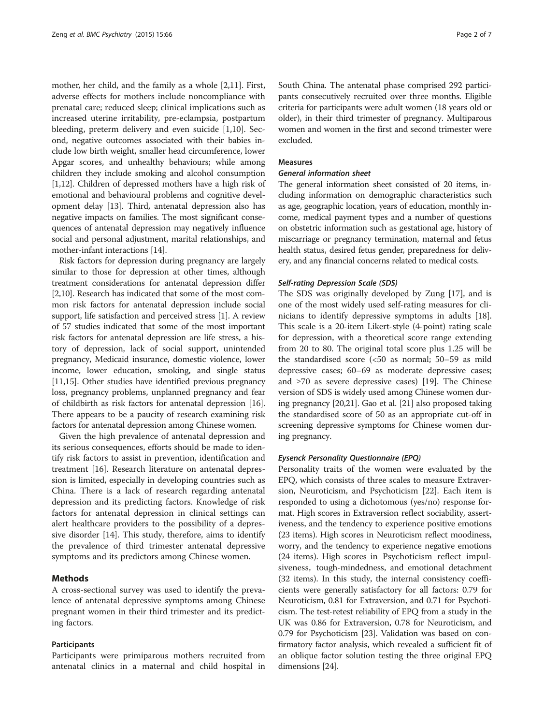mother, her child, and the family as a whole [[2,11\]](#page-6-0). First, adverse effects for mothers include noncompliance with prenatal care; reduced sleep; clinical implications such as increased uterine irritability, pre-eclampsia, postpartum bleeding, preterm delivery and even suicide [[1,10\]](#page-6-0). Second, negative outcomes associated with their babies include low birth weight, smaller head circumference, lower Apgar scores, and unhealthy behaviours; while among children they include smoking and alcohol consumption [[1,12](#page-6-0)]. Children of depressed mothers have a high risk of emotional and behavioural problems and cognitive development delay [\[13\]](#page-6-0). Third, antenatal depression also has negative impacts on families. The most significant consequences of antenatal depression may negatively influence social and personal adjustment, marital relationships, and mother-infant interactions [\[14\]](#page-6-0).

Risk factors for depression during pregnancy are largely similar to those for depression at other times, although treatment considerations for antenatal depression differ [[2,10](#page-6-0)]. Research has indicated that some of the most common risk factors for antenatal depression include social support, life satisfaction and perceived stress [[1\]](#page-6-0). A review of 57 studies indicated that some of the most important risk factors for antenatal depression are life stress, a history of depression, lack of social support, unintended pregnancy, Medicaid insurance, domestic violence, lower income, lower education, smoking, and single status [[11,15](#page-6-0)]. Other studies have identified previous pregnancy loss, pregnancy problems, unplanned pregnancy and fear of childbirth as risk factors for antenatal depression [[16](#page-6-0)]. There appears to be a paucity of research examining risk factors for antenatal depression among Chinese women.

Given the high prevalence of antenatal depression and its serious consequences, efforts should be made to identify risk factors to assist in prevention, identification and treatment [[16\]](#page-6-0). Research literature on antenatal depression is limited, especially in developing countries such as China. There is a lack of research regarding antenatal depression and its predicting factors. Knowledge of risk factors for antenatal depression in clinical settings can alert healthcare providers to the possibility of a depressive disorder [[14](#page-6-0)]. This study, therefore, aims to identify the prevalence of third trimester antenatal depressive symptoms and its predictors among Chinese women.

#### Methods

A cross-sectional survey was used to identify the prevalence of antenatal depressive symptoms among Chinese pregnant women in their third trimester and its predicting factors.

## Participants

Participants were primiparous mothers recruited from antenatal clinics in a maternal and child hospital in South China. The antenatal phase comprised 292 participants consecutively recruited over three months. Eligible criteria for participants were adult women (18 years old or older), in their third trimester of pregnancy. Multiparous women and women in the first and second trimester were excluded.

## Measures

## General information sheet

The general information sheet consisted of 20 items, including information on demographic characteristics such as age, geographic location, years of education, monthly income, medical payment types and a number of questions on obstetric information such as gestational age, history of miscarriage or pregnancy termination, maternal and fetus health status, desired fetus gender, preparedness for delivery, and any financial concerns related to medical costs.

#### Self-rating Depression Scale (SDS)

The SDS was originally developed by Zung [\[17](#page-6-0)], and is one of the most widely used self-rating measures for clinicians to identify depressive symptoms in adults [\[18](#page-6-0)]. This scale is a 20-item Likert-style (4-point) rating scale for depression, with a theoretical score range extending from 20 to 80. The original total score plus 1.25 will be the standardised score (<50 as normal; 50–59 as mild depressive cases; 60–69 as moderate depressive cases; and ≥70 as severe depressive cases) [[19](#page-6-0)]. The Chinese version of SDS is widely used among Chinese women during pregnancy [\[20,21](#page-6-0)]. Gao et al. [\[21\]](#page-6-0) also proposed taking the standardised score of 50 as an appropriate cut-off in screening depressive symptoms for Chinese women during pregnancy.

## Eysenck Personality Questionnaire (EPQ)

Personality traits of the women were evaluated by the EPQ, which consists of three scales to measure Extraversion, Neuroticism, and Psychoticism [[22](#page-6-0)]. Each item is responded to using a dichotomous (yes/no) response format. High scores in Extraversion reflect sociability, assertiveness, and the tendency to experience positive emotions (23 items). High scores in Neuroticism reflect moodiness, worry, and the tendency to experience negative emotions (24 items). High scores in Psychoticism reflect impulsiveness, tough-mindedness, and emotional detachment (32 items). In this study, the internal consistency coefficients were generally satisfactory for all factors: 0.79 for Neuroticism, 0.81 for Extraversion, and 0.71 for Psychoticism. The test-retest reliability of EPQ from a study in the UK was 0.86 for Extraversion, 0.78 for Neuroticism, and 0.79 for Psychoticism [[23](#page-6-0)]. Validation was based on confirmatory factor analysis, which revealed a sufficient fit of an oblique factor solution testing the three original EPQ dimensions [\[24\]](#page-6-0).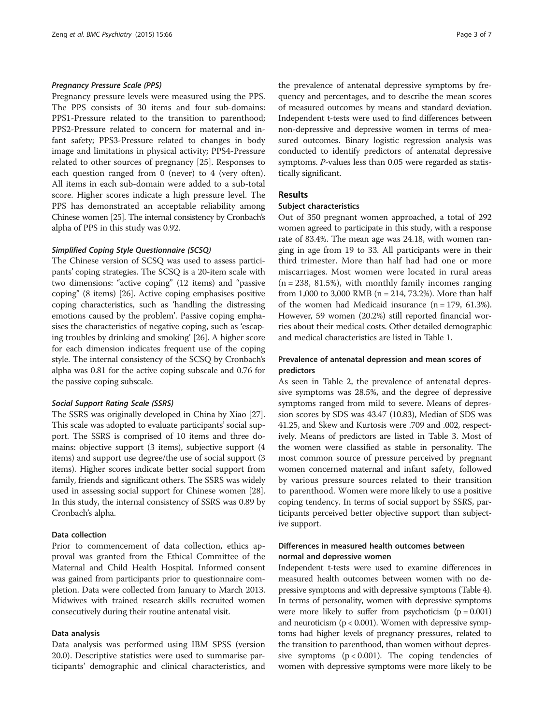#### Pregnancy Pressure Scale (PPS)

Pregnancy pressure levels were measured using the PPS. The PPS consists of 30 items and four sub-domains: PPS1-Pressure related to the transition to parenthood; PPS2-Pressure related to concern for maternal and infant safety; PPS3-Pressure related to changes in body image and limitations in physical activity; PPS4-Pressure related to other sources of pregnancy [\[25](#page-6-0)]. Responses to each question ranged from 0 (never) to 4 (very often). All items in each sub-domain were added to a sub-total score. Higher scores indicate a high pressure level. The PPS has demonstrated an acceptable reliability among Chinese women [\[25](#page-6-0)]. The internal consistency by Cronbach's alpha of PPS in this study was 0.92.

#### Simplified Coping Style Questionnaire (SCSQ)

The Chinese version of SCSQ was used to assess participants' coping strategies. The SCSQ is a 20-item scale with two dimensions: "active coping" (12 items) and "passive coping" (8 items) [\[26](#page-6-0)]. Active coping emphasises positive coping characteristics, such as 'handling the distressing emotions caused by the problem'. Passive coping emphasises the characteristics of negative coping, such as 'escaping troubles by drinking and smoking' [\[26](#page-6-0)]. A higher score for each dimension indicates frequent use of the coping style. The internal consistency of the SCSQ by Cronbach's alpha was 0.81 for the active coping subscale and 0.76 for the passive coping subscale.

#### Social Support Rating Scale (SSRS)

The SSRS was originally developed in China by Xiao [[27](#page-6-0)]. This scale was adopted to evaluate participants' social support. The SSRS is comprised of 10 items and three domains: objective support (3 items), subjective support (4 items) and support use degree/the use of social support (3 items). Higher scores indicate better social support from family, friends and significant others. The SSRS was widely used in assessing social support for Chinese women [[28](#page-6-0)]. In this study, the internal consistency of SSRS was 0.89 by Cronbach's alpha.

## Data collection

Prior to commencement of data collection, ethics approval was granted from the Ethical Committee of the Maternal and Child Health Hospital. Informed consent was gained from participants prior to questionnaire completion. Data were collected from January to March 2013. Midwives with trained research skills recruited women consecutively during their routine antenatal visit.

## Data analysis

Data analysis was performed using IBM SPSS (version 20.0). Descriptive statistics were used to summarise participants' demographic and clinical characteristics, and

the prevalence of antenatal depressive symptoms by frequency and percentages, and to describe the mean scores of measured outcomes by means and standard deviation. Independent t-tests were used to find differences between non-depressive and depressive women in terms of measured outcomes. Binary logistic regression analysis was conducted to identify predictors of antenatal depressive symptoms. P-values less than 0.05 were regarded as statistically significant.

## Results

## Subject characteristics

Out of 350 pregnant women approached, a total of 292 women agreed to participate in this study, with a response rate of 83.4%. The mean age was 24.18, with women ranging in age from 19 to 33. All participants were in their third trimester. More than half had had one or more miscarriages. Most women were located in rural areas  $(n = 238, 81.5\%)$ , with monthly family incomes ranging from 1,000 to 3,000 RMB (n = 214, 73.2%). More than half of the women had Medicaid insurance  $(n = 179, 61.3\%)$ . However, 59 women (20.2%) still reported financial worries about their medical costs. Other detailed demographic and medical characteristics are listed in Table [1](#page-3-0).

## Prevalence of antenatal depression and mean scores of predictors

As seen in Table [2](#page-3-0), the prevalence of antenatal depressive symptoms was 28.5%, and the degree of depressive symptoms ranged from mild to severe. Means of depression scores by SDS was 43.47 (10.83), Median of SDS was 41.25, and Skew and Kurtosis were .709 and .002, respectively. Means of predictors are listed in Table [3.](#page-3-0) Most of the women were classified as stable in personality. The most common source of pressure perceived by pregnant women concerned maternal and infant safety, followed by various pressure sources related to their transition to parenthood. Women were more likely to use a positive coping tendency. In terms of social support by SSRS, participants perceived better objective support than subjective support.

## Differences in measured health outcomes between normal and depressive women

Independent t-tests were used to examine differences in measured health outcomes between women with no depressive symptoms and with depressive symptoms (Table [4](#page-4-0)). In terms of personality, women with depressive symptoms were more likely to suffer from psychoticism  $(p = 0.001)$ and neuroticism ( $p < 0.001$ ). Women with depressive symptoms had higher levels of pregnancy pressures, related to the transition to parenthood, than women without depressive symptoms  $(p < 0.001)$ . The coping tendencies of women with depressive symptoms were more likely to be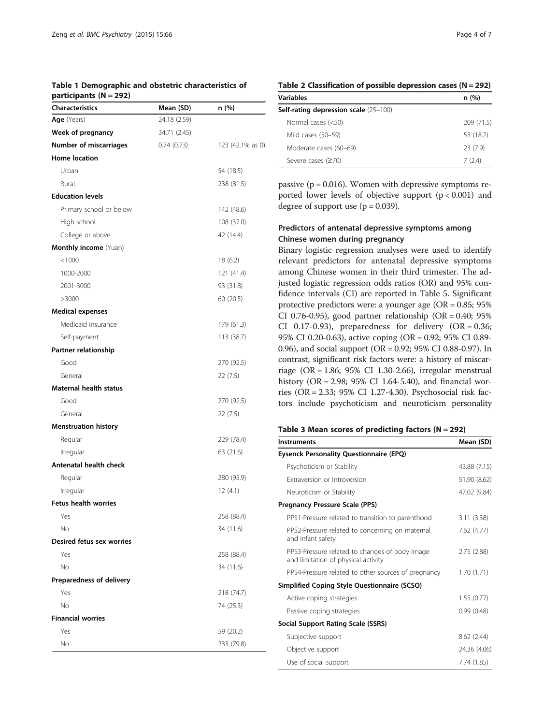<span id="page-3-0"></span>

| Table 1 Demographic and obstetric characteristics of |  |
|------------------------------------------------------|--|
| participants $(N = 292)$                             |  |

| <b>Characteristics</b>      | Mean (SD)    | n (%)            |
|-----------------------------|--------------|------------------|
| Age (Years)                 | 24.18 (2.59) |                  |
| Week of pregnancy           | 34.71 (2.45) |                  |
| Number of miscarriages      | 0.74(0.73)   | 123 (42.1% as 0) |
| <b>Home location</b>        |              |                  |
| Urban                       |              | 54 (18.5)        |
| Rural                       |              | 238 (81.5)       |
| <b>Education levels</b>     |              |                  |
| Primary school or below     |              | 142 (48.6)       |
| High school                 |              | 108 (37.0)       |
| College or above            |              | 42 (14.4)        |
| Monthly income (Yuan)       |              |                  |
| < 1000                      |              | 18(6.2)          |
| 1000-2000                   |              | 121 (41.4)       |
| 2001-3000                   |              | 93 (31.8)        |
| >3000                       |              | 60 (20.5)        |
| <b>Medical expenses</b>     |              |                  |
| Medicaid insurance          |              | 179 (61.3)       |
| Self-payment                |              | 113 (38.7)       |
| Partner relationship        |              |                  |
| Good                        |              | 270 (92.5)       |
| General                     |              | 22(7.5)          |
| Maternal health status      |              |                  |
| Good                        |              | 270 (92.5)       |
| General                     |              | 22 (7.5)         |
| <b>Menstruation history</b> |              |                  |
| Regular                     |              | 229 (78.4)       |
| Irregular                   |              | 63 (21.6)        |
| Antenatal health check      |              |                  |
| Regular                     |              | 280 (95.9)       |
| Irregular                   |              | 12(4.1)          |
| <b>Fetus health worries</b> |              |                  |
| Yes                         |              | 258 (88.4)       |
| No                          |              | 34 (11.6)        |
| Desired fetus sex worries   |              |                  |
| Yes                         |              | 258 (88.4)       |
| No                          |              | 34 (11.6)        |
| Preparedness of delivery    |              |                  |
| Yes                         |              | 218 (74.7)       |
| No                          |              | 74 (25.3)        |
| <b>Financial worries</b>    |              |                  |
| Yes                         |              | 59 (20.2)        |
| No                          |              | 233 (79.8)       |

|  | Table 2 Classification of possible depression cases (N = 292) |  |  |  |
|--|---------------------------------------------------------------|--|--|--|
|  |                                                               |  |  |  |

| <b>Variables</b>                             | n (%)      |
|----------------------------------------------|------------|
| <b>Self-rating depression scale (25-100)</b> |            |
| Normal cases (<50)                           | 209 (71.5) |
| Mild cases (50-59)                           | 53 (18.2)  |
| Moderate cases (60-69)                       | 23(7.9)    |
| Severe cases $(270)$                         | 7(2.4)     |

passive ( $p = 0.016$ ). Women with depressive symptoms reported lower levels of objective support (p < 0.001) and degree of support use  $(p = 0.039)$ .

## Predictors of antenatal depressive symptoms among Chinese women during pregnancy

Binary logistic regression analyses were used to identify relevant predictors for antenatal depressive symptoms among Chinese women in their third trimester. The adjusted logistic regression odds ratios (OR) and 95% confidence intervals (CI) are reported in Table [5](#page-4-0). Significant protective predictors were: a younger age (OR = 0.85; 95% CI 0.76-0.95), good partner relationship (OR =  $0.40$ ; 95% CI 0.17-0.93), preparedness for delivery  $(OR = 0.36;$ 95% CI 0.20-0.63), active coping (OR = 0.92; 95% CI 0.89- 0.96), and social support (OR = 0.92; 95% CI 0.88-0.97). In contrast, significant risk factors were: a history of miscarriage (OR = 1.86; 95% CI 1.30-2.66), irregular menstrual history (OR = 2.98; 95% CI 1.64-5.40), and financial worries (OR = 2.33; 95% CI 1.27-4.30). Psychosocial risk factors include psychoticism and neuroticism personality

| Table 3 Mean scores of predicting factors ( $N = 292$ ) |  |  |
|---------------------------------------------------------|--|--|
|---------------------------------------------------------|--|--|

| <b>Instruments</b>                                                                    | Mean (SD)    |
|---------------------------------------------------------------------------------------|--------------|
| <b>Eysenck Personality Questionnaire (EPQ)</b>                                        |              |
| Psychoticism or Stability                                                             | 43.88 (7.15) |
| Extraversion or Introversion                                                          | 51.90 (8.62) |
| Neuroticism or Stability                                                              | 47.02 (9.84) |
| Pregnancy Pressure Scale (PPS)                                                        |              |
| PPS1-Pressure related to transition to parenthood                                     | 3.11(3.38)   |
| PPS2-Pressure related to concerning on maternal<br>and infant safety                  | 7.62 (4.77)  |
| PPS3-Pressure related to changes of body image<br>and limitation of physical activity | 2.75(2.88)   |
| PPS4-Pressure related to other sources of pregnancy                                   | 1.70(1.71)   |
| Simplified Coping Style Questionnaire (SCSQ)                                          |              |
| Active coping strategies                                                              | 1.55(0.77)   |
| Passive coping strategies                                                             | 0.99(0.48)   |
| Social Support Rating Scale (SSRS)                                                    |              |
| Subjective support                                                                    | 8.62(2.44)   |
| Objective support                                                                     | 24.36 (4.06) |
| Use of social support                                                                 | 7.74 (1.85)  |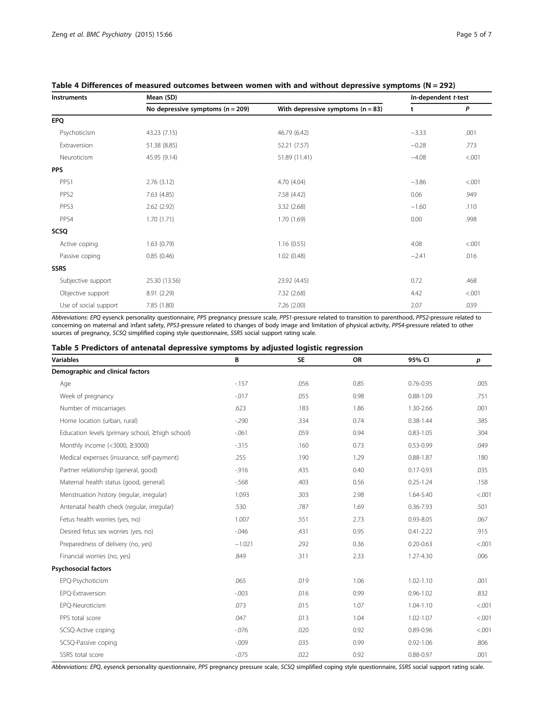| Instruments           | Mean (SD)                          | In-dependent t-test                 |         |        |
|-----------------------|------------------------------------|-------------------------------------|---------|--------|
|                       | No depressive symptoms $(n = 209)$ | With depressive symptoms $(n = 83)$ | t       | P      |
| <b>EPQ</b>            |                                    |                                     |         |        |
| Psychoticism          | 43.23 (7.15)                       | 46.79 (6.42)                        | $-3.33$ | .001   |
| Extraversion          | 51.38 (8.85)                       | 52.21 (7.57)                        | $-0.28$ | .773   |
| Neuroticism           | 45.95 (9.14)                       | 51.89 (11.41)                       | $-4.08$ | < .001 |
| <b>PPS</b>            |                                    |                                     |         |        |
| PPS1                  | 2.76(3.12)                         | 4.70 (4.04)                         | $-3.86$ | < .001 |
| PPS <sub>2</sub>      | 7.63 (4.85)                        | 7.58 (4.42)                         | 0.06    | .949   |
| PPS3                  | 2.62(2.92)                         | 3.32(2.68)                          | $-1.60$ | .110   |
| PPS4                  | 1.70(1.71)                         | 1.70(1.69)                          | 0.00    | .998   |
| SCSQ                  |                                    |                                     |         |        |
| Active coping         | 1.63(0.79)                         | 1.16(0.55)                          | 4.08    | < .001 |
| Passive coping        | 0.85(0.46)                         | 1.02(0.48)                          | $-2.41$ | .016   |
| <b>SSRS</b>           |                                    |                                     |         |        |
| Subjective support    | 25.30 (13.56)                      | 23.92 (4.45)                        | 0.72    | .468   |
| Objective support     | 8.91 (2.29)                        | 7.32(2.68)                          | 4.42    | < .001 |
| Use of social support | 7.85 (1.80)                        | 7.26(2.00)                          | 2.07    | .039   |

<span id="page-4-0"></span>Table 4 Differences of measured outcomes between women with and without depressive symptoms  $(N = 292)$ 

Abbreviations: EPQ eysenck personality questionnaire, PPS pregnancy pressure scale, PPS1-pressure related to transition to parenthood, PPS2-pressure related to concerning on maternal and infant safety, PPS3-pressure related to changes of body image and limitation of physical activity, PPS4-pressure related to other sources of pregnancy, SCSQ simplified coping style questionnaire, SSRS social support rating scale.

| Table 5 Predictors of antenatal depressive symptoms by adjusted logistic regression |  |  |  |  |  |  |  |
|-------------------------------------------------------------------------------------|--|--|--|--|--|--|--|
|-------------------------------------------------------------------------------------|--|--|--|--|--|--|--|

| <b>Variables</b>                                | В        | <b>SE</b> | OR   | 95% CI        | $\boldsymbol{p}$ |
|-------------------------------------------------|----------|-----------|------|---------------|------------------|
| Demographic and clinical factors                |          |           |      |               |                  |
| Age                                             | $-157$   | .056      | 0.85 | $0.76 - 0.95$ | .005             |
| Week of pregnancy                               | $-0.017$ | .055      | 0.98 | $0.88 - 1.09$ | .751             |
| Number of miscarriages                          | .623     | .183      | 1.86 | 1.30-2.66     | .001             |
| Home location (urban, rural)                    | $-290$   | .334      | 0.74 | $0.38 - 1.44$ | .385             |
| Education levels (primary school, ≥high school) | $-061$   | .059      | 0.94 | $0.83 - 1.05$ | .304             |
| Monthly income (<3000, ≥3000)                   | $-315$   | .160      | 0.73 | $0.53 - 0.99$ | .049             |
| Medical expenses (insurance, self-payment)      | .255     | .190      | 1.29 | $0.88 - 1.87$ | .180             |
| Partner relationship (general, good)            | $-916$   | .435      | 0.40 | $0.17 - 0.93$ | .035             |
| Maternal health status (good, general)          | $-568$   | .403      | 0.56 | $0.25 - 1.24$ | .158             |
| Menstruation history (regular, irregular)       | 1.093    | .303      | 2.98 | 1.64-5.40     | < .001           |
| Antenatal health check (regular, irregular)     | .530     | .787      | 1.69 | 0.36-7.93     | .501             |
| Fetus health worries (yes, no)                  | 1.007    | .551      | 2.73 | $0.93 - 8.05$ | .067             |
| Desired fetus sex worries (yes, no)             | $-0.046$ | .431      | 0.95 | $0.41 - 2.22$ | .915             |
| Preparedness of delivery (no, yes)              | $-1.021$ | .292      | 0.36 | $0.20 - 0.63$ | < .001           |
| Financial worries (no, yes)                     | .849     | .311      | 2.33 | 1.27-4.30     | .006             |
| <b>Psychosocial factors</b>                     |          |           |      |               |                  |
| EPQ-Psychoticism                                | .065     | .019      | 1.06 | $1.02 - 1.10$ | .001             |
| EPQ-Extraversion                                | $-0.003$ | .016      | 0.99 | $0.96 - 1.02$ | .832             |
| EPQ-Neuroticism                                 | .073     | .015      | 1.07 | $1.04 - 1.10$ | < .001           |
| PPS total score                                 | .047     | .013      | 1.04 | $1.02 - 1.07$ | < .001           |
| SCSQ-Active coping                              | $-0.076$ | .020      | 0.92 | 0.89-0.96     | < .001           |
| SCSQ-Passive coping                             | $-0.009$ | .035      | 0.99 | $0.92 - 1.06$ | .806             |
| SSRS total score                                | $-0.075$ | .022      | 0.92 | $0.88 - 0.97$ | .001             |

Abbreviations: EPQ, eysenck personality questionnaire, PPS pregnancy pressure scale, SCSQ simplified coping style questionnaire, SSRS social support rating scale.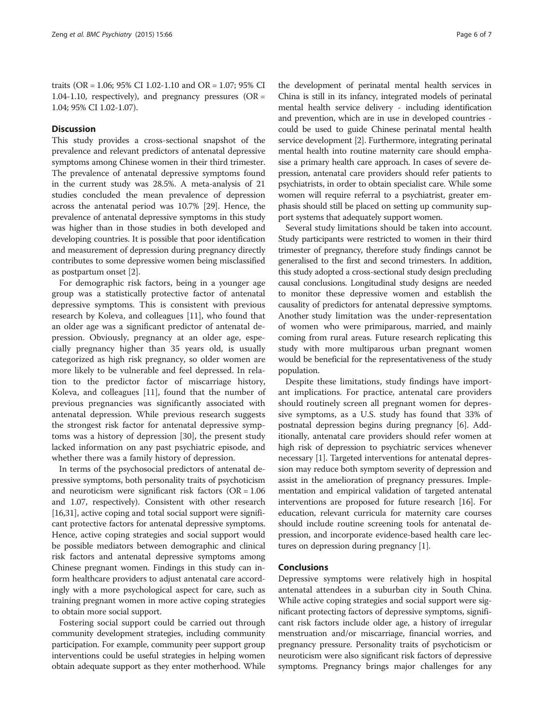traits (OR = 1.06; 95% CI 1.02-1.10 and OR = 1.07; 95% CI 1.04-1.10, respectively), and pregnancy pressures ( $OR =$ 1.04; 95% CI 1.02-1.07).

## **Discussion**

This study provides a cross-sectional snapshot of the prevalence and relevant predictors of antenatal depressive symptoms among Chinese women in their third trimester. The prevalence of antenatal depressive symptoms found in the current study was 28.5%. A meta-analysis of 21 studies concluded the mean prevalence of depression across the antenatal period was 10.7% [[29](#page-6-0)]. Hence, the prevalence of antenatal depressive symptoms in this study was higher than in those studies in both developed and developing countries. It is possible that poor identification and measurement of depression during pregnancy directly contributes to some depressive women being misclassified as postpartum onset [[2](#page-6-0)].

For demographic risk factors, being in a younger age group was a statistically protective factor of antenatal depressive symptoms. This is consistent with previous research by Koleva, and colleagues [[11](#page-6-0)], who found that an older age was a significant predictor of antenatal depression. Obviously, pregnancy at an older age, especially pregnancy higher than 35 years old, is usually categorized as high risk pregnancy, so older women are more likely to be vulnerable and feel depressed. In relation to the predictor factor of miscarriage history, Koleva, and colleagues [[11\]](#page-6-0), found that the number of previous pregnancies was significantly associated with antenatal depression. While previous research suggests the strongest risk factor for antenatal depressive symptoms was a history of depression [\[30\]](#page-6-0), the present study lacked information on any past psychiatric episode, and whether there was a family history of depression.

In terms of the psychosocial predictors of antenatal depressive symptoms, both personality traits of psychoticism and neuroticism were significant risk factors ( $OR = 1.06$ ) and 1.07, respectively). Consistent with other research [[16,31](#page-6-0)], active coping and total social support were significant protective factors for antenatal depressive symptoms. Hence, active coping strategies and social support would be possible mediators between demographic and clinical risk factors and antenatal depressive symptoms among Chinese pregnant women. Findings in this study can inform healthcare providers to adjust antenatal care accordingly with a more psychological aspect for care, such as training pregnant women in more active coping strategies to obtain more social support.

Fostering social support could be carried out through community development strategies, including community participation. For example, community peer support group interventions could be useful strategies in helping women obtain adequate support as they enter motherhood. While

the development of perinatal mental health services in China is still in its infancy, integrated models of perinatal mental health service delivery - including identification and prevention, which are in use in developed countries could be used to guide Chinese perinatal mental health service development [\[2\]](#page-6-0). Furthermore, integrating perinatal mental health into routine maternity care should emphasise a primary health care approach. In cases of severe depression, antenatal care providers should refer patients to psychiatrists, in order to obtain specialist care. While some women will require referral to a psychiatrist, greater emphasis should still be placed on setting up community support systems that adequately support women.

Several study limitations should be taken into account. Study participants were restricted to women in their third trimester of pregnancy, therefore study findings cannot be generalised to the first and second trimesters. In addition, this study adopted a cross-sectional study design precluding causal conclusions. Longitudinal study designs are needed to monitor these depressive women and establish the causality of predictors for antenatal depressive symptoms. Another study limitation was the under-representation of women who were primiparous, married, and mainly coming from rural areas. Future research replicating this study with more multiparous urban pregnant women would be beneficial for the representativeness of the study population.

Despite these limitations, study findings have important implications. For practice, antenatal care providers should routinely screen all pregnant women for depressive symptoms, as a U.S. study has found that 33% of postnatal depression begins during pregnancy [\[6](#page-6-0)]. Additionally, antenatal care providers should refer women at high risk of depression to psychiatric services whenever necessary [[1](#page-6-0)]. Targeted interventions for antenatal depression may reduce both symptom severity of depression and assist in the amelioration of pregnancy pressures. Implementation and empirical validation of targeted antenatal interventions are proposed for future research [[16](#page-6-0)]. For education, relevant curricula for maternity care courses should include routine screening tools for antenatal depression, and incorporate evidence-based health care lectures on depression during pregnancy [[1](#page-6-0)].

#### Conclusions

Depressive symptoms were relatively high in hospital antenatal attendees in a suburban city in South China. While active coping strategies and social support were significant protecting factors of depressive symptoms, significant risk factors include older age, a history of irregular menstruation and/or miscarriage, financial worries, and pregnancy pressure. Personality traits of psychoticism or neuroticism were also significant risk factors of depressive symptoms. Pregnancy brings major challenges for any